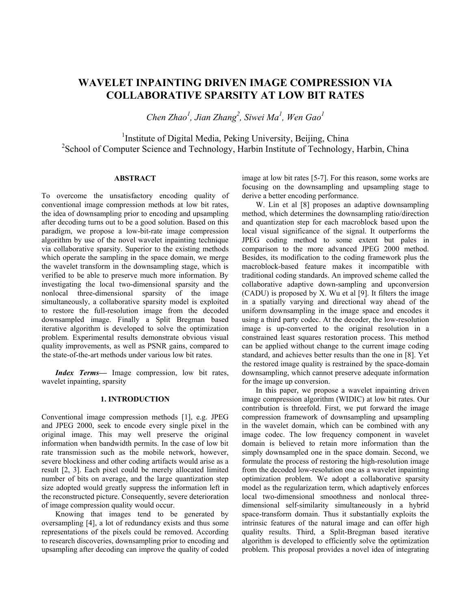# **WAVELET INPAINTING DRIVEN IMAGE COMPRESSION VIA COLLABORATIVE SPARSITY AT LOW BIT RATES**

*Chen Zhao<sup>1</sup> , Jian Zhang<sup>2</sup> , Siwei Ma<sup>1</sup> , Wen Gao<sup>1</sup>*

<sup>1</sup>Institute of Digital Media, Peking University, Beijing, China <sup>2</sup>School of Computer Science and Technology, Harbin Institute of Technology, Harbin, China

# **ABSTRACT**

To overcome the unsatisfactory encoding quality of conventional image compression methods at low bit rates, the idea of downsampling prior to encoding and upsampling after decoding turns out to be a good solution. Based on this paradigm, we propose a low-bit-rate image compression algorithm by use of the novel wavelet inpainting technique via collaborative sparsity. Superior to the existing methods which operate the sampling in the space domain, we merge the wavelet transform in the downsampling stage, which is verified to be able to preserve much more information. By investigating the local two-dimensional sparsity and the nonlocal three-dimensional sparsity of the image simultaneously, a collaborative sparsity model is exploited to restore the full-resolution image from the decoded downsampled image. Finally a Split Bregman based iterative algorithm is developed to solve the optimization problem. Experimental results demonstrate obvious visual quality improvements, as well as PSNR gains, compared to the state-of-the-art methods under various low bit rates.

*Index Terms—* Image compression, low bit rates, wavelet inpainting, sparsity

#### **1. INTRODUCTION**

Conventional image compression methods [1], e.g. JPEG and JPEG 2000, seek to encode every single pixel in the original image. This may well preserve the original information when bandwidth permits. In the case of low bit rate transmission such as the mobile network, however, severe blockiness and other coding artifacts would arise as a result [2, 3]. Each pixel could be merely allocated limited number of bits on average, and the large quantization step size adopted would greatly suppress the information left in the reconstructed picture. Consequently, severe deterioration of image compression quality would occur.

Knowing that images tend to be generated by oversampling [4], a lot of redundancy exists and thus some representations of the pixels could be removed. According to research discoveries, downsampling prior to encoding and upsampling after decoding can improve the quality of coded

image at low bit rates [5-7]. For this reason, some works are focusing on the downsampling and upsampling stage to derive a better encoding performance.

W. Lin et al [8] proposes an adaptive downsampling method, which determines the downsampling ratio/direction and quantization step for each macroblock based upon the local visual significance of the signal. It outperforms the JPEG coding method to some extent but pales in comparison to the more advanced JPEG 2000 method. Besides, its modification to the coding framework plus the macroblock-based feature makes it incompatible with traditional coding standards. An improved scheme called the collaborative adaptive down-sampling and upconversion (CADU) is proposed by X. Wu et al [9]. It filters the image in a spatially varying and directional way ahead of the uniform downsampling in the image space and encodes it using a third party codec. At the decoder, the low-resolution image is up-converted to the original resolution in a constrained least squares restoration process. This method can be applied without change to the current image coding standard, and achieves better results than the one in [8]. Yet the restored image quality is restrained by the space-domain downsampling, which cannot preserve adequate information for the image up conversion.

In this paper, we propose a wavelet inpainting driven image compression algorithm (WIDIC) at low bit rates. Our contribution is threefold. First, we put forward the image compression framework of downsampling and upsampling in the wavelet domain, which can be combined with any image codec. The low frequency component in wavelet domain is believed to retain more information than the simply downsampled one in the space domain. Second, we formulate the process of restoring the high-resolution image from the decoded low-resolution one as a wavelet inpainting optimization problem. We adopt a collaborative sparsity model as the regularization term, which adaptively enforces local two-dimensional smoothness and nonlocal threedimensional self-similarity simultaneously in a hybrid space-transform domain. Thus it substantially exploits the intrinsic features of the natural image and can offer high quality results. Third, a Split-Bregman based iterative algorithm is developed to efficiently solve the optimization problem. This proposal provides a novel idea of integrating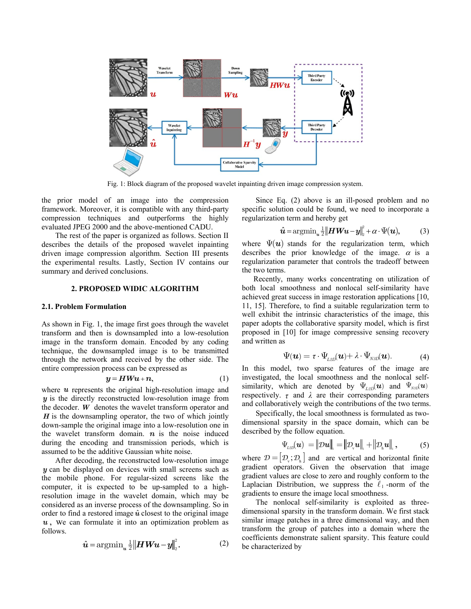

Fig. 1: Block diagram of the proposed wavelet inpainting driven image compression system.

the prior model of an image into the compression framework. Moreover, it is compatible with any third-party compression techniques and outperforms the highly evaluated JPEG 2000 and the above-mentioned CADU.

The rest of the paper is organized as follows. Section II describes the details of the proposed wavelet inpainting driven image compression algorithm. Section III presents the experimental results. Lastly, Section IV contains our summary and derived conclusions.

## **2. PROPOSED WIDIC ALGORITHM**

#### **2.1. Problem Formulation**

As shown in Fig. 1, the image first goes through the wavelet transform and then is downsampled into a low-resolution image in the transform domain. Encoded by any coding technique, the downsampled image is to be transmitted through the network and received by the other side. The entire compression process can be expressed as

$$
y = HWu + n, \tag{1}
$$

where  $u$  represents the original high-resolution image and *y* is the directly reconstructed low-resolution image from the decoder. *W* denotes the wavelet transform operator and *H* is the downsampling operator, the two of which jointly down-sample the original image into a low-resolution one in the wavelet transform domain. *n* is the noise induced during the encoding and transmission periods, which is assumed to be the additive Gaussian white noise.

After decoding, the reconstructed low-resolution image *y* can be displayed on devices with small screens such as the mobile phone. For regular-sized screens like the computer, it is expected to be up-sampled to a highresolution image in the wavelet domain, which may be considered as an inverse process of the downsampling. So in order to find a restored image  $\hat{u}$  closest to the original image *u* , we can formulate it into an optimization problem as follows.

$$
\hat{\mathbf{u}} = \operatorname{argmin}_{\mathbf{u}} \frac{1}{2} \|\mathbf{H}\mathbf{W}\mathbf{u} - \mathbf{y}\|_{2}^{2}.
$$
 (2)

Since Eq. (2) above is an ill-posed problem and no specific solution could be found, we need to incorporate a regularization term and hereby get<br> $\hat{\bm{u}} = \arg\!\min_{\bm{u}} \frac{1}{2} \|\bm{H}\bm{W}\bm{u} - \bm{y}\|_2^2 + \alpha \cdot \Psi(\bm{u})$ 

$$
\hat{\mathbf{u}} = \arg\min_{\mathbf{u}} \frac{1}{2} \|\mathbf{H}\mathbf{W}\mathbf{u} - \mathbf{y}\|_{2}^{2} + \alpha \cdot \Psi(\mathbf{u}), \tag{3}
$$

where  $\Psi(\boldsymbol{u})$  stands for the regularization term, which describes the prior knowledge of the image.  $\alpha$  is a regularization parameter that controls the tradeoff between the two terms.

Recently, many works concentrating on utilization of both local smoothness and nonlocal self-similarity have achieved great success in image restoration applications [10, 11, 15]. Therefore, to find a suitable regularization term to well exhibit the intrinsic characteristics of the image, this paper adopts the collaborative sparsity model, which is first proposed in [10] for image compressive sensing recovery and written as

$$
\Psi(\boldsymbol{u}) = \tau \cdot \Psi_{\text{L2D}}(\boldsymbol{u}) + \lambda \cdot \Psi_{\text{NSD}}(\boldsymbol{u}). \tag{4}
$$

In this model, two sparse features of the image are investigated, the local smoothness and the nonlocal selfsimilarity, which are denoted by  $\Psi_{L2D}(u)$  and  $\Psi_{NSD}(u)$ respectively.  $\tau$  and  $\lambda$  are their corresponding parameters and collaboratively weigh the contributions of the two terms.

Specifically, the local smoothness is formulated as twodimensional sparsity in the space domain, which can be described by the follow equation.

$$
\Psi_{\text{L2D}}(\boldsymbol{u}) = \|\mathcal{D}\boldsymbol{u}\|_{\text{I}} = \|\mathcal{D}_{\text{v}}\boldsymbol{u}\|_{\text{I}} + \|\mathcal{D}_{\text{h}}\boldsymbol{u}\|_{\text{I}}, \tag{5}
$$

where  $\mathcal{D} = [\mathcal{D}_{\mathbf{y}}; \mathcal{D}_{\mathbf{h}}]$  and are vertical and horizontal finite gradient operators. Given the observation that image gradient values are close to zero and roughly conform to the Laplacian Distribution, we suppress the  $\ell_1$ -norm of the gradients to ensure the image local smoothness.

The nonlocal self-similarity is exploited as threedimensional sparsity in the transform domain. We first stack similar image patches in a three dimensional way, and then transform the group of patches into a domain where the coefficients demonstrate salient sparsity. This feature could be characterized by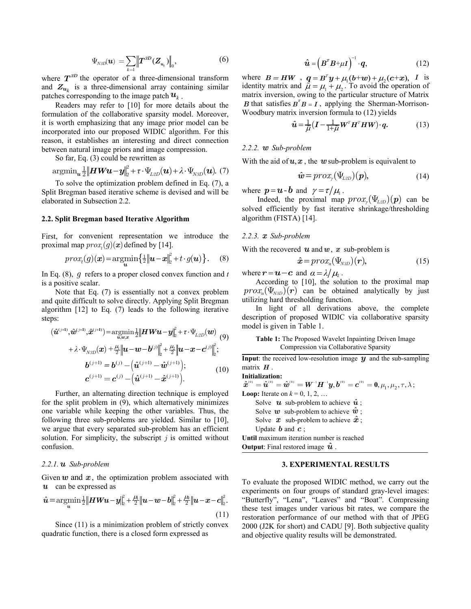$$
\Psi_{NSD}(\bm{u}) = \sum_{k=1} \left\| \bm{T}^{3D} (\bm{Z}_{u_k}) \right\|_0, \tag{6}
$$

where  $T^{3D}$  the operator of a three-dimensional transform and  $Z_{u_k}$  is a three-dimensional array containing similar patches corresponding to the image patch  $u_k$ .

Readers may refer to [10] for more details about the formulation of the collaborative sparsity model. Moreover, it is worth emphasizing that any image prior model can be incorporated into our proposed WIDIC algorithm. For this reason, it establishes an interesting and direct connection between natural image priors and image compression.

So far, Eq. (3) could be rewritten as

ween natural image priors and image compression.  
So far, Eq. (3) could be rewritten as  

$$
\operatorname{argmin}_{\mathbf{u}} \frac{1}{2} \|\mathbf{H} \mathbf{W} \mathbf{u} - \mathbf{y}\|_{2}^{2} + \tau \cdot \Psi_{L2D}(\mathbf{u}) + \lambda \cdot \Psi_{N2D}(\mathbf{u}).
$$
 (7)

To solve the optimization problem defined in Eq. (7), a Split Bregman based iterative scheme is devised and will be elaborated in Subsection 2.2.

#### **2.2. Split Bregman based Iterative Algorithm**

First, for convenient representation we introduce the

proximal map 
$$
prox_t(g)(x)
$$
 defined by [14].  
\n
$$
prox_t(g)(x) = \operatorname*{argmin}_{u} \left\{ \frac{1}{2} ||u - x||_2^2 + t \cdot g(u) \right\}. \quad (8)
$$

In Eq. (8), *g* refers to a proper closed convex function and *t* is a positive scalar.

Note that Eq. (7) is essentially not a convex problem and quite difficult to solve directly. Applying Split Bregman algorithm [12] to Eq. (7) leads to the following iterative<br>steps:<br> $(\hat{\mathbf{u}}^{(j+1)}, \hat{\mathbf{w}}^{(j+1)}, \hat{\mathbf{x}}^{(j+1)}) = \underset{u,w,x}{\text{argmin}} \frac{1}{2} ||\mathbf{H} \mathbf{W} \mathbf{u} - \mathbf{y}||_2^2 + \tau \cdot \Psi_{L2D}(\mathbf{w})$  (9) steps:

ps:  
\n
$$
(\hat{\mathbf{u}}^{(j+1)}, \hat{\mathbf{w}}^{(j+1)}, \hat{\mathbf{x}}^{(j+1)}) = \underset{\mathbf{u}, \mathbf{w}, \mathbf{z}}{\operatorname{argmin}} \frac{1}{2} \|\boldsymbol{H} \boldsymbol{W} \boldsymbol{u} - \boldsymbol{y}\|_{2}^{2} + \tau \cdot \Psi_{L2D}(\boldsymbol{w}) \tag{9}
$$
\n
$$
+ \lambda \cdot \Psi_{NSD}(\boldsymbol{x}) + \frac{\mu_{1}}{2} \|\boldsymbol{u} - \boldsymbol{w} - \boldsymbol{b}^{(j)}\|_{2}^{2} + \frac{\mu_{2}}{2} \|\boldsymbol{u} - \boldsymbol{x} - \boldsymbol{c}^{(j)}\|_{2}^{2};
$$
\n
$$
\boldsymbol{b}^{(j+1)} = \boldsymbol{b}^{(j)} - \left(\hat{\boldsymbol{u}}^{(j+1)} - \hat{\boldsymbol{w}}^{(j+1)}\right);
$$
\n
$$
\boldsymbol{c}^{(j+1)} = \boldsymbol{c}^{(j)} - \left(\hat{\boldsymbol{u}}^{(j+1)} - \hat{\boldsymbol{x}}^{(j+1)}\right).
$$
\n(10)

Further, an alternating direction technique is employed for the split problem in (9), which alternatively minimizes one variable while keeping the other variables. Thus, the following three sub-problems are yielded. Similar to [10], we argue that every separated sub-problem has an efficient solution. For simplicity, the subscript *j* is omitted without confusion.

# *2.2.1. u Sub-problem*

Given *w* and *x*, the optimization problem associated with<br> *u* can be expressed as<br>  $\hat{u} = \operatorname*{argmin}_{u} \frac{1}{2} ||H W u - y||_{L^{\infty}}^{\beta} + \frac{\mu_{h}}{2} ||u - w - b||_{L^{\infty}}^{\beta} + \frac{\mu_{h}}{2} ||u - x - c||_{L^{\infty}}^{\beta}$ . *u* can be expressed as

u can be expressed as  
\n
$$
\hat{u} = \operatorname*{argmin}_{u} \frac{1}{2} ||HWu - y||_{2}^{2} + \frac{\mu_{1}}{2} ||u - w - b||_{2}^{2} + \frac{\mu_{2}}{2} ||u - x - c||_{2}^{2}.
$$
\n(11)

Since (11) is a minimization problem of strictly convex quadratic function, there is a closed form expressed as

$$
\hat{\boldsymbol{u}} = \left(\boldsymbol{B}^T \boldsymbol{B} + \mu \boldsymbol{I}\right)^{-1} \cdot \boldsymbol{q},\tag{12}
$$

where  $B = HW$ ,  $q = B^T y + \mu_1(b+w) + \mu_2(c+x)$ ,  $\mu^T \mathbf{u} + \mu_1 (\mathbf{b} + \mathbf{w}) + \mu_2 (\mathbf{c} + \mathbf{x})$ , *I* is identity matrix and  $\vec{\mu} = \mu_1 + \mu_2$ . To avoid the operation of matrix inversion, owing to the particular structure of Matrix *B* that satisfies  $B^T B = I$ , applying the Sherman-Morrison-Woodbury matrix inversion formula to (12) yields<br>  $\hat{\mathbf{u}} = \frac{1}{2} (\mathbf{I} - \frac{1}{2} \mathbf{w}^T \mathbf{H}^T \mathbf{H} \mathbf{W}) \cdot \mathbf{a}.$ 

$$
\hat{\mathbf{u}} = \frac{1}{\tilde{\mu}} \left( \mathbf{I} - \frac{1}{1 + \tilde{\mu}} \mathbf{W}^T \mathbf{H}^T \mathbf{H} \mathbf{W} \right) \cdot \mathbf{q}.
$$
 (13)

#### *2.2.2. w Sub-problem*

With the aid of  $u, x$ , the  $w$  sub-problem is equivalent to

$$
\hat{\mathbf{w}} = prox_{\gamma} (\Psi_{L2D})(\mathbf{p}), \tag{14}
$$

where  $p = u - b$  and  $\gamma = \tau / \mu_1$ .

Indeed, the proximal map  $prox_{\gamma}(\Psi_{L2D})(p)$  can be solved efficiently by fast iterative shrinkage/thresholding algorithm (FISTA) [14].

#### *2.2.3. x Sub-problem*

With the recovered  $u$  and  $w$ ,  $x$  sub-problem is

$$
\hat{\boldsymbol{x}} = prox_{a}(\Psi_{NSD})(\boldsymbol{r}), \qquad (15)
$$

where  $\mathbf{r} = \mathbf{u} - \mathbf{c}$  and  $\alpha = \lambda / \mu$ .

According to [10], the solution to the proximal map  $prox_{\alpha}(\Psi_{\text{N3D}})(r)$  can be obtained analytically by just utilizing hard thresholding function.

In light of all derivations above, the complete description of proposed WIDIC via collaborative sparsity model is given in Table 1.

**Table 1:** The Proposed Wavelet Inpainting Driven Image Compression via Collaborative Sparsity

**Input**: the received low-resolution image  $y$  and the sub-sampling matrix *H* .

**Initialization:** 

matrix 
$$
H
$$

\nInitialization:

\n
$$
\hat{x}^{(0)} = \hat{u}^{(0)} = \hat{w}^{(0)} = W^{-1}H^{-1}y, b^{(0)} = c^{(0)} = 0, \mu_1, \mu_2, \tau, \lambda;
$$
\nLoop: Iterate on  $k = 0, 1, 2, \ldots$ 

\nSolve  $u$  sub-problem to achieve  $\hat{u}$ ;

\nSolve  $w$  sub-problem to achieve  $\hat{w}$ ;

\nSolve  $x$  sub-problem to achieve  $\hat{x}$ ;

\nUpdate  $b$  and  $c$ ;

\nUntil maximum iteration number is reached

\nOutput: Final restored image  $\hat{u}$ .

#### **3. EXPERIMENTAL RESULTS**

To evaluate the proposed WIDIC method, we carry out the experiments on four groups of standard gray-level images: "Butterfly", "Lena", "Leaves" and "Boat". Compressing these test images under various bit rates, we compare the restoration performance of our method with that of JPEG 2000 (J2K for short) and CADU [9]. Both subjective quality and objective quality results will be demonstrated.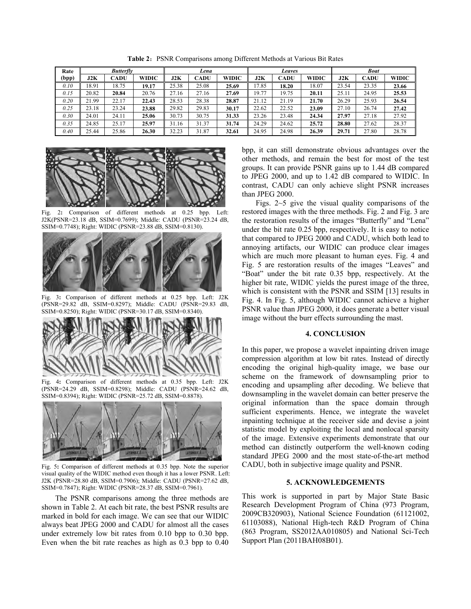| Rate  | <b>Butterfly</b> |       |       | Lena  |             |              | Leaves |       |              | <b>Boat</b> |             |       |
|-------|------------------|-------|-------|-------|-------------|--------------|--------|-------|--------------|-------------|-------------|-------|
| (bpp) | J2K              | CADU  | WIDIC | J2K   | <b>CADU</b> | <b>WIDIC</b> | J2K    | CADU  | <b>WIDIC</b> | J2K         | <b>CADU</b> | WIDIC |
| 0.10  | 18.91            | 18.75 | 19.17 | 25.38 | 25.08       | 25.69        | 17.85  | 18.20 | 18.07        | 23.54       | 23.35       | 23.66 |
| 0.15  | 20.82            | 20.84 | 20.76 | 27.16 | 27.16       | 27.69        | 19.77  | 19.75 | 20.11        | 25.11       | 24.95       | 25.53 |
| 0.20  | 21.99            | 22.17 | 22.43 | 28.53 | 28.38       | 28.87        | 21.12  | 21.19 | 21.70        | 26.29       | 25.93       | 26.54 |
| 0.25  | 23.18            | 23.24 | 23.88 | 29.82 | 29.83       | 30.17        | 22.62  | 22.52 | 23.09        | 27.10       | 26.74       | 27.42 |
| 0.30  | 24.01            | 24.11 | 25.06 | 30.73 | 30.75       | 31.33        | 23.26  | 23.48 | 24.34        | 27.97       | 27.18       | 27.92 |
| 0.35  | 24.85            | 25.17 | 25.97 | 31.16 | 31.37       | 31.74        | 24.29  | 24.62 | 25.72        | 28.80       | 27.62       | 28.37 |
| 0.40  | 25.44            | 25.86 | 26.30 | 32.23 | 31.87       | 32.61        | 24.95  | 24.98 | 26.39        | 29.71       | 27.80       | 28.78 |

Table 2: PSNR Comparisons among Different Methods at Various Bit Rates



Fig. 2**:** Comparison of different methods at 0.25 bpp. Left: J2K(PSNR=23.18 dB, SSIM=0.7699); Middle: CADU (PSNR=23.24 dB, SSIM=0.7748); Right: WIDIC (PSNR=23.88 dB, SSIM=0.8130).



Fig. 3**:** Comparison of different methods at 0.25 bpp. Left: J2K (PSNR=29.82 dB, SSIM=0.8297); Middle: CADU (PSNR=29.83 dB, SSIM=0.8250); Right: WIDIC (PSNR=30.17 dB, SSIM=0.8340).



Fig. 4**:** Comparison of different methods at 0.35 bpp. Left: J2K (PSNR=24.29 dB, SSIM=0.8298); Middle: CADU (PSNR=24.62 dB, SSIM=0.8394); Right: WIDIC (PSNR=25.72 dB, SSIM=0.8878).



Fig. 5**:** Comparison of different methods at 0.35 bpp. Note the superior visual quality of the WIDIC method even though it has a lower PSNR. Left: J2K (PSNR=28.80 dB, SSIM=0.7906); Middle: CADU (PSNR=27.62 dB, SSIM=0.7847); Right: WIDIC (PSNR=28.37 dB, SSIM=0.7961).

The PSNR comparisons among the three methods are shown in Table 2. At each bit rate, the best PSNR results are marked in bold for each image. We can see that our WIDIC always beat JPEG 2000 and CADU for almost all the cases under extremely low bit rates from 0.10 bpp to 0.30 bpp. Even when the bit rate reaches as high as 0.3 bpp to 0.40 bpp, it can still demonstrate obvious advantages over the other methods, and remain the best for most of the test groups. It can provide PSNR gains up to 1.44 dB compared to JPEG 2000, and up to 1.42 dB compared to WIDIC. In contrast, CADU can only achieve slight PSNR increases than JPEG 2000.

Figs. 2~5 give the visual quality comparisons of the restored images with the three methods. Fig. 2 and Fig. 3 are the restoration results of the images "Butterfly" and "Lena" under the bit rate 0.25 bpp, respectively. It is easy to notice that compared to JPEG 2000 and CADU, which both lead to annoying artifacts, our WIDIC can produce clear images which are much more pleasant to human eyes. Fig. 4 and Fig. 5 are restoration results of the images "Leaves" and "Boat" under the bit rate 0.35 bpp, respectively. At the higher bit rate, WIDIC yields the purest image of the three, which is consistent with the PSNR and SSIM [13] results in Fig. 4. In Fig. 5, although WIDIC cannot achieve a higher PSNR value than JPEG 2000, it does generate a better visual image without the burr effects surrounding the mast.

## **4. CONCLUSION**

In this paper, we propose a wavelet inpainting driven image compression algorithm at low bit rates. Instead of directly encoding the original high-quality image, we base our scheme on the framework of downsampling prior to encoding and upsampling after decoding. We believe that downsampling in the wavelet domain can better preserve the original information than the space domain through sufficient experiments. Hence, we integrate the wavelet inpainting technique at the receiver side and devise a joint statistic model by exploiting the local and nonlocal sparsity of the image. Extensive experiments demonstrate that our method can distinctly outperform the well-known coding standard JPEG 2000 and the most state-of-the-art method CADU, both in subjective image quality and PSNR.

### **5. ACKNOWLEDGEMENTS**

This work is supported in part by Major State Basic Research Development Program of China (973 Program, 2009CB320903), National Science Foundation (61121002, 61103088), National High-tech R&D Program of China (863 Program, SS2012AA010805) and National Sci-Tech Support Plan (2011BAH08B01).